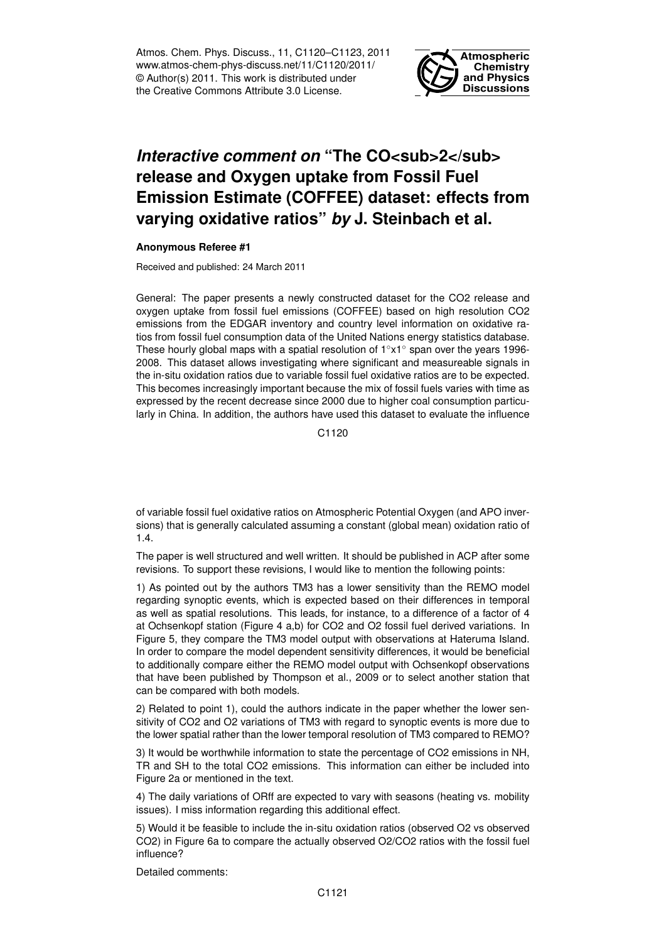Atmos. Chem. Phys. Discuss., 11, C1120–C1123, 2011 www.atmos-chem-phys-discuss.net/11/C1120/2011/ © Author(s) 2011. This work is distributed under the Creative Commons Attribute 3.0 License.



## *Interactive comment on* "The CO<sub>2</sub> **release and Oxygen uptake from Fossil Fuel Emission Estimate (COFFEE) dataset: effects from varying oxidative ratios"** *by* **J. Steinbach et al.**

## **Anonymous Referee #1**

Received and published: 24 March 2011

General: The paper presents a newly constructed dataset for the CO2 release and oxygen uptake from fossil fuel emissions (COFFEE) based on high resolution CO2 emissions from the EDGAR inventory and country level information on oxidative ratios from fossil fuel consumption data of the United Nations energy statistics database. These hourly global maps with a spatial resolution of 1◦x1◦ span over the years 1996- 2008. This dataset allows investigating where significant and measureable signals in the in-situ oxidation ratios due to variable fossil fuel oxidative ratios are to be expected. This becomes increasingly important because the mix of fossil fuels varies with time as expressed by the recent decrease since 2000 due to higher coal consumption particularly in China. In addition, the authors have used this dataset to evaluate the influence

C<sub>1120</sub>

of variable fossil fuel oxidative ratios on Atmospheric Potential Oxygen (and APO inversions) that is generally calculated assuming a constant (global mean) oxidation ratio of 1.4.

The paper is well structured and well written. It should be published in ACP after some revisions. To support these revisions, I would like to mention the following points:

1) As pointed out by the authors TM3 has a lower sensitivity than the REMO model regarding synoptic events, which is expected based on their differences in temporal as well as spatial resolutions. This leads, for instance, to a difference of a factor of 4 at Ochsenkopf station (Figure 4 a,b) for CO2 and O2 fossil fuel derived variations. In Figure 5, they compare the TM3 model output with observations at Hateruma Island. In order to compare the model dependent sensitivity differences, it would be beneficial to additionally compare either the REMO model output with Ochsenkopf observations that have been published by Thompson et al., 2009 or to select another station that can be compared with both models.

2) Related to point 1), could the authors indicate in the paper whether the lower sensitivity of CO2 and O2 variations of TM3 with regard to synoptic events is more due to the lower spatial rather than the lower temporal resolution of TM3 compared to REMO?

3) It would be worthwhile information to state the percentage of CO2 emissions in NH, TR and SH to the total CO2 emissions. This information can either be included into Figure 2a or mentioned in the text.

4) The daily variations of ORff are expected to vary with seasons (heating vs. mobility issues). I miss information regarding this additional effect.

5) Would it be feasible to include the in-situ oxidation ratios (observed O2 vs observed CO2) in Figure 6a to compare the actually observed O2/CO2 ratios with the fossil fuel influence?

Detailed comments: